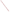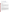# **Technical Factsheet on: XYLENES**

[List of Contaminants](http://www.epa.gov/safewater/hfacts.html) 

 As part of the Drinking Water and Health pages, this fact sheet is part of a larger publication: **National Primary Drinking Water Regulations** 

#### **Drinking Water Standards**

 MCL: 10 mg/L MCLG: 10 mg/L HAL(child): 1 day: 40 mg/L; Longer-term: 40 mg/L

#### **Health Effects Summary**

 levels above the MCL: disturbances in the central nervous system, such as changes in cognitive abilities, Acute: EPA has found xylenes to potentially cause the following health effects from acute exposures at balance, and coordination.

 consuming 1 liter of water per day: upto a 7-year exposure to 40 mg/L. Drinking water levels which are considered "safe" for short-term exposures: For a 10-kg (22 lb.) child

 levels above the MCL: damage to the central nervous system, liver and kidneys. Compared with benzene and toluene, very much less is known of the human health hazards, particularly the chronic effects of Chronic: Xylenes have the potential to cause the following health effects from long-term exposures at xylenes, either as mixed xylenes, as individual isomers or in admixture with other alkylbenzenes.

 from lifetime exposures in drinking water. Cancer: There is inadequate evidence to state whether or not xylenes have the potential to cause cancer

# **Usage Patterns**

 The commercial product mixed xylenes (a technical product generally containing 20% each of o-xylene, p-xylene and ethylbenzene, as well as small quantities of toluene) analogously to toluene is an agent of major chemical and occupational significance.

 It is produced in very large quantities and is extensively employed in a broad spectrum of applications, primarily as a solvent for which its use is increasing as a safe replacement for benzene, and in gasoline as part of the BTX component (benzene-toluene-xylene); xylenes are also frequently used in the rubber industry with other solvents such as toluene and benzene. Most consumption of xylene mixtures is to produce the individual isomers, particularly p-xylene. As individual isomers they are extensively employed in the synthesis of synthetic agents. For example, phthalic acid, isophthalic acid, terephthalic acid, and diemthylterephthalate have very broad applications in the further preparation of phthalate ester plasticizers and components of polyester fiber, film and fabricated items.

 Production of xylenes has increased: from about 5 billion lbs. in 1982 to 6.84 billion lbs in 1993. In 1982 it was estimated that industries consumed xylenes as follows: production of ortho-xylene, 15%; production of para-xylene, 60%; miscellaneous, 14%; exports, 11%.

#### **Release Patterns**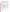products of many plants, and are a component of petroleum and coal tar. Major environmental releases of xylenes are due to: emissions from petroleum refining, gasoline and diesel engines; emissions from its use as a solvent for alkyl resins, lacquers, enamels, rubber cement, pesticide sprays and in organic synthesis; leaks and evaporation losses during the transport and storage of gasoline and other fuels and from carburetor losses; agricultural spraying. Xylenes are a natural

 releases occurred in Texas. The largest direct releases to water occurred in New Jersey and Georgia. From 1987 to 1993, according to EPA's Toxic Chemical Release Inventory, xylene releases to land and water totalled nearly 4.8 billion lbs., of which about 81 percent was to land. These releases were primarily from petroleum industries which produce xylenes as by-products of gasoline refining. The largest

## **Environmental Fate**

 reaction with hydroxyl radicals (half-life 1-18 hr). Most of the xylenes are released into the atmosphere where they may photochemically degrade by

 (0.22 for the ortho isomer and 0.32 for the m- and p- isomers). The half-life for evaporation from water is 3.2 hr for o-xylene and will be 2% higher for the m- and p-xylene. The dominant removal process in water is volatilization. Xylenes are resistant to hydrolysis, since there are no hydrolyzable functions. Xylenes are volatile compounds with relatively high Henry's Law constant

 rates for typical bodies of water, one estimates that the half-life for evaporation of xylenes from a typical river or pond is 29 and 144 hr, respectively. Measures of the rate of evaporation of xylenes from a 1:1000 jet fuel:water mixture found that this rate averaged approximately 0.6 times the oxygen reaeration rate. Combining this ratio with oxygen reaeration

 Xylenes are moderately mobile in soil and may leach into groundwater where they are known to persist sludge and sea water, where mixtures are completely degraded in 8 days in groundwater with an for several years, despite some evidence that they biodegrade in both soil and groundwater. This evidence includes standard biodegradability tests using various inocula including sewage, activated acclimation period of 3-4 days.

 Xylenes have low to moderate adsorption to soil based on the KOC of o-xylene(48-68) and similar and to leach into groundwater under a rapid infiltration site. chemicals. Xylenes have been observed to pass through soil at a dune-infiltration site on the Rhine River

 be 2.14-2.20. The log BCF for eels is 1.3. Bioconcentration is not expected to be significant. Based on the log octanol/water partition coefficient of 3.12-3.20 for the individual isomers and using a regression relation, the log BCF for fish is calculated to

 The primary source of exposure is from air, but, xylenes are a low level contaminant of both ground and surface public water supplies.

#### **Chemical/Physical Properties**

CAS Number: 1330-20-7

 Color/ Form/Odor: Clear liquid with a sweet odor; The commercial product "mixed xylenes" generally contains approximately 40% m-xylene and 20% each of o-xylene, p-xylene, and ethylbenzene, as well as small quantities of toluene

M.P.: N/A B.P.: 137-140 C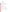## Vapor Pressure: N/A

Octanol/Water Partition (Kow): Log Kow = 3.12-3.20

Density/Spec. Grav.: 0.864 at 20 C

Solubility: N/A; Insoluble in water

Henry's Law Coefficient: 0.22 to 0.32 atm-cu m/mole;

Odor/Taste Thresholds: Odor threshold in air is 5x10-5 mg/L

Soil sorption coefficient: Koc = 48 -68; high to moderate mobility in soil

 Bioconcentration Factor: Log BCF=2.14 in fish (calc.); not expected to bioconcentrate in aquatic organisms.

Trade Names/Synonyms: Dimethyl benzene, Xylol, Methyltoluene, Violet 3

#### **Other Regulatory Information**

Monitoring:

-- For Ground/Surface Water Sources:

Initial Frequency- 4 quarterly samples every 3 years

Repeat Frequency- Annually after 1 year of no detection

-- Triggers - Return to Initial Freq. if detect at > 0.0005 mg/L

#### **Analysis**

EPA 600/4-88-039 502.2; 524.2

**Analysis**<br>Reference Source Method Numbers **Reference Source** 

**Treatment/Best Available Technologies:** Granular Activated Charcoal and Packed Tower Aeration

 **Toxic Release Inventory - Releases to Water and Land, 1987 to 1993 (in pounds):** 

|                           |         | Water     | Land      |
|---------------------------|---------|-----------|-----------|
| <b>TOTALS (in pounds)</b> |         | 875,943   | 3,897,738 |
| Top Ten States*           |         |           |           |
| ТX                        | 30,853  | 2,099,734 |           |
| <b>NJ</b>                 | 294.437 | 280.759   |           |
| IL                        | 36      | 206,990   |           |
| IN                        | 0       | 145,079   |           |
| AL                        | 34.361  | 59,022    |           |
| CA                        | 0       | 91,500    |           |
| MI                        | 0       | 86.774    |           |
| GA                        | 68,310  | 15,000    |           |
| VA                        | 50.100  | 33,000    |           |
| <b>WA</b>                 | 27,860  | 52,360    |           |
| Major Industries*         |         |           |           |
| Petroleum refining        |         | 131,817   | 2,678,958 |